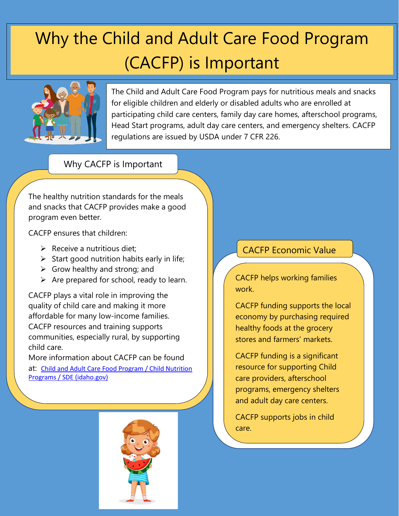# Why the Child and Adult Care Food Program (CACFP) is Important



The Child and Adult Care Food Program pays for nutritious meals and snacks for eligible children and elderly or disabled adults who are enrolled at participating child care centers, family day care homes, afterschool programs, Head Start programs, adult day care centers, and emergency shelters. CACFP regulations are issued by USDA under 7 CFR 226.

#### Why CACFP is Important

The healthy nutrition standards for the meals and snacks that CACFP provides make a good program even better.

CACFP ensures that children:

- $\triangleright$  Receive a nutritious diet:
- $\triangleright$  Start good nutrition habits early in life;
- $\triangleright$  Grow healthy and strong; and
- $\triangleright$  Are prepared for school, ready to learn.

CACFP plays a vital role in improving the quality of child care and making it more affordable for many low-income families. CACFP resources and training supports communities, especially rural, by supporting child care.

More information about CACFP can be found at: [Child and Adult Care Food Program / Child Nutrition](https://www.sde.idaho.gov/cnp/cacfp/)  [Programs / SDE \(idaho.gov\)](https://www.sde.idaho.gov/cnp/cacfp/)



## CACFP Economic Value

CACFP helps working families work.

CACFP funding supports the local economy by purchasing required healthy foods at the grocery stores and farmers' markets.

CACFP funding is a significant resource for supporting Child care providers, afterschool programs, emergency shelters and adult day care centers.

CACFP supports jobs in child care.